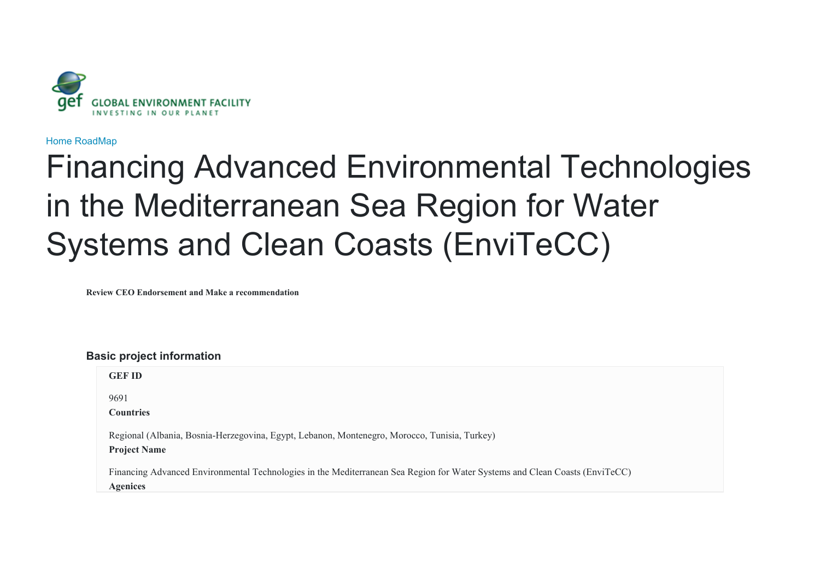

[Home](javascript:void(0)) [RoadMap](javascript:void(0))

# Financing Advanced Environmental Technologies in the Mediterranean Sea Region for Water Systems and Clean Coasts (EnviTeCC)

**Review CEO Endorsement and Make a recommendation**

**Basic project information**

| <b>GEF ID</b>                                                                                                                                  |  |  |  |
|------------------------------------------------------------------------------------------------------------------------------------------------|--|--|--|
| 9691<br><b>Countries</b>                                                                                                                       |  |  |  |
| Regional (Albania, Bosnia-Herzegovina, Egypt, Lebanon, Montenegro, Morocco, Tunisia, Turkey)<br><b>Project Name</b>                            |  |  |  |
| Financing Advanced Environmental Technologies in the Mediterranean Sea Region for Water Systems and Clean Coasts (EnviTeCC)<br><b>Agenices</b> |  |  |  |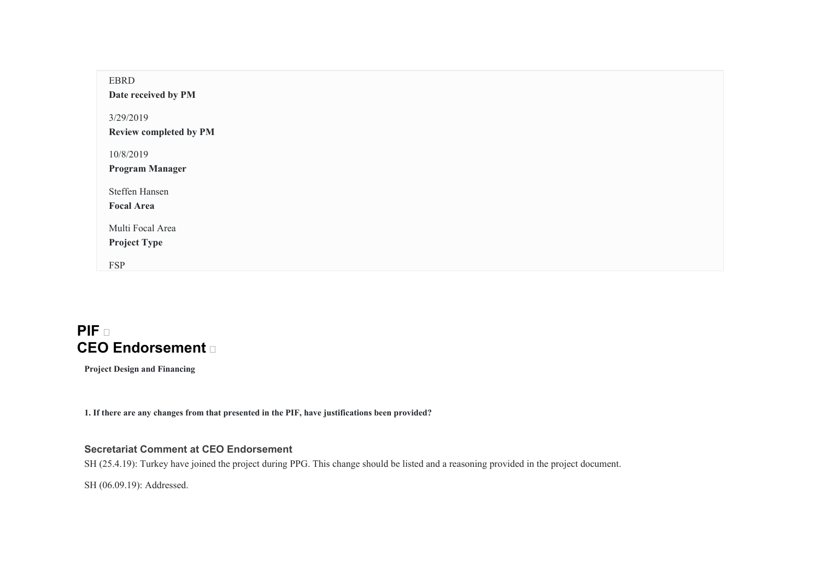| <b>EBRD</b><br>Date received by PM  |
|-------------------------------------|
| 3/29/2019<br>Review completed by PM |
|                                     |
| 10/8/2019                           |
| <b>Program Manager</b>              |
| Steffen Hansen                      |
| <b>Focal Area</b>                   |
| Multi Focal Area                    |
| <b>Project Type</b>                 |
| <b>FSP</b>                          |
|                                     |

# **PIF CEO Endorsement**

**Project Design and Financing** 

**1. If there are any changes from that presented in the PIF, have justifications been provided?** 

# **Secretariat Comment at CEO Endorsement**

SH (25.4.19): Turkey have joined the project during PPG. This change should be listed and a reasoning provided in the project document.

SH (06.09.19): Addressed.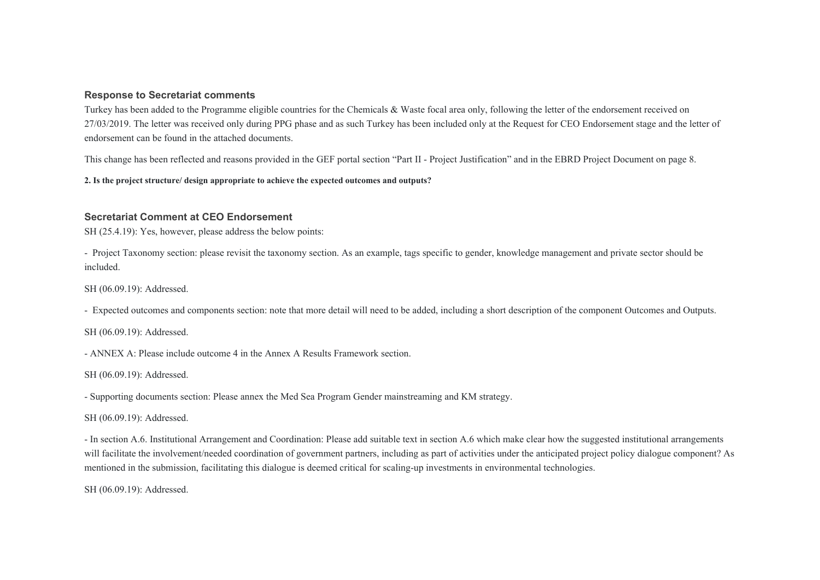#### **Response to Secretariat comments**

Turkey has been added to the Programme eligible countries for the Chemicals & Waste focal area only, following the letter of the endorsement received on 27/03/2019. The letter was received only during PPG phase and as such Turkey has been included only at the Request for CEO Endorsement stage and the letter of endorsement can be found in the attached documents.

This change has been reflected and reasons provided in the GEF portal section "Part II - Project Justification" and in the EBRD Project Document on page 8.

**2. Is the project structure/ design appropriate to achieve the expected outcomes and outputs?** 

#### **Secretariat Comment at CEO Endorsement**

SH (25.4.19): Yes, however, please address the below points:

- Project Taxonomy section: please revisit the taxonomy section. As an example, tags specific to gender, knowledge management and private sector should be included.

SH (06.09.19): Addressed.

- Expected outcomes and components section: note that more detail will need to be added, including a short description of the component Outcomes and Outputs.

SH (06.09.19): Addressed.

- ANNEX A: Please include outcome 4 in the Annex A Results Framework section.

SH (06.09.19): Addressed.

- Supporting documents section: Please annex the Med Sea Program Gender mainstreaming and KM strategy.

SH (06.09.19): Addressed.

- In section A.6. Institutional Arrangement and Coordination: Please add suitable text in section A.6 which make clear how the suggested institutional arrangements will facilitate the involvement/needed coordination of government partners, including as part of activities under the anticipated project policy dialogue component? As mentioned in the submission, facilitating this dialogue is deemed critical for scaling-up investments in environmental technologies.

SH (06.09.19): Addressed.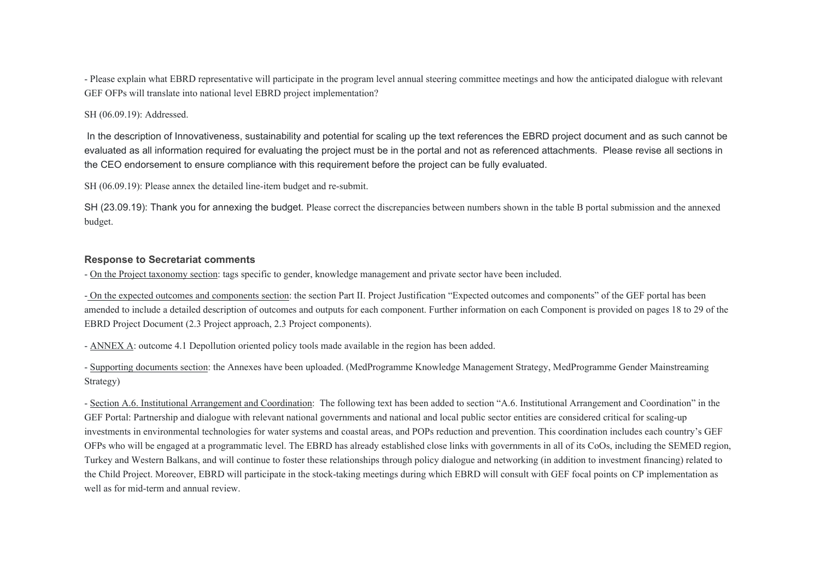- Please explain what EBRD representative will participate in the program level annual steering committee meetings and how the anticipated dialogue with relevant GEF OFPs will translate into national level EBRD project implementation?

#### SH (06.09.19): Addressed.

 In the description of Innovativeness, sustainability and potential for scaling up the text references the EBRD project document and as such cannot be evaluated as all information required for evaluating the project must be in the portal and not as referenced attachments. Please revise all sections in the CEO endorsement to ensure compliance with this requirement before the project can be fully evaluated.

SH (06.09.19): Please annex the detailed line-item budget and re-submit.

SH (23.09.19): Thank you for annexing the budget. Please correct the discrepancies between numbers shown in the table B portal submission and the annexed budget.

#### **Response to Secretariat comments**

- On the Project taxonomy section: tags specific to gender, knowledge management and private sector have been included.

- On the expected outcomes and components section: the section Part II. Project Justification "Expected outcomes and components" of the GEF portal has been amended to include a detailed description of outcomes and outputs for each component. Further information on each Component is provided on pages 18 to 29 of the EBRD Project Document (2.3 Project approach, 2.3 Project components).

- ANNEX A: outcome 4.1 Depollution oriented policy tools made available in the region has been added.

- Supporting documents section: the Annexes have been uploaded. (MedProgramme Knowledge Management Strategy, MedProgramme Gender Mainstreaming Strategy)

- Section A.6. Institutional Arrangement and Coordination: The following text has been added to section "A.6. Institutional Arrangement and Coordination" in the GEF Portal: Partnership and dialogue with relevant national governments and national and local public sector entities are considered critical for scaling-up investments in environmental technologies for water systems and coastal areas, and POPs reduction and prevention. This coordination includes each country's GEF OFPs who will be engaged at a programmatic level. The EBRD has already established close links with governments in all of its CoOs, including the SEMED region, Turkey and Western Balkans, and will continue to foster these relationships through policy dialogue and networking (in addition to investment financing) related to the Child Project. Moreover, EBRD will participate in the stock-taking meetings during which EBRD will consult with GEF focal points on CP implementation as well as for mid-term and annual review.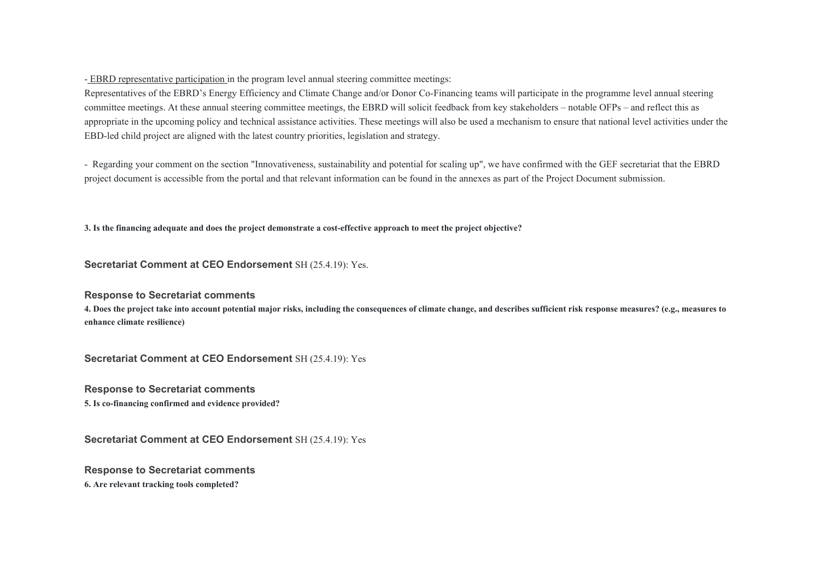- EBRD representative participation in the program level annual steering committee meetings:

Representatives of the EBRD's Energy Efficiency and Climate Change and/or Donor Co-Financing teams will participate in the programme level annual steering committee meetings. At these annual steering committee meetings, the EBRD will solicit feedback from key stakeholders – notable OFPs – and reflect this as appropriate in the upcoming policy and technical assistance activities. These meetings will also be used a mechanism to ensure that national level activities under the EBD-led child project are aligned with the latest country priorities, legislation and strategy.

- Regarding your comment on the section "Innovativeness, sustainability and potential for scaling up", we have confirmed with the GEF secretariat that the EBRD project document is accessible from the portal and that relevant information can be found in the annexes as part of the Project Document submission.

**3. Is the financing adequate and does the project demonstrate a cost-effective approach to meet the project objective?** 

**Secretariat Comment at CEO Endorsement** SH (25.4.19): Yes.

# **Response to Secretariat comments**

**4. Does the project take into account potential major risks, including the consequences of climate change, and describes sufficient risk response measures? (e.g., measures to enhance climate resilience)** 

**Secretariat Comment at CEO Endorsement** SH (25.4.19): Yes

**Response to Secretariat comments 5. Is co-financing confirmed and evidence provided?** 

**Secretariat Comment at CEO Endorsement** SH (25.4.19): Yes

**Response to Secretariat comments 6. Are relevant tracking tools completed?**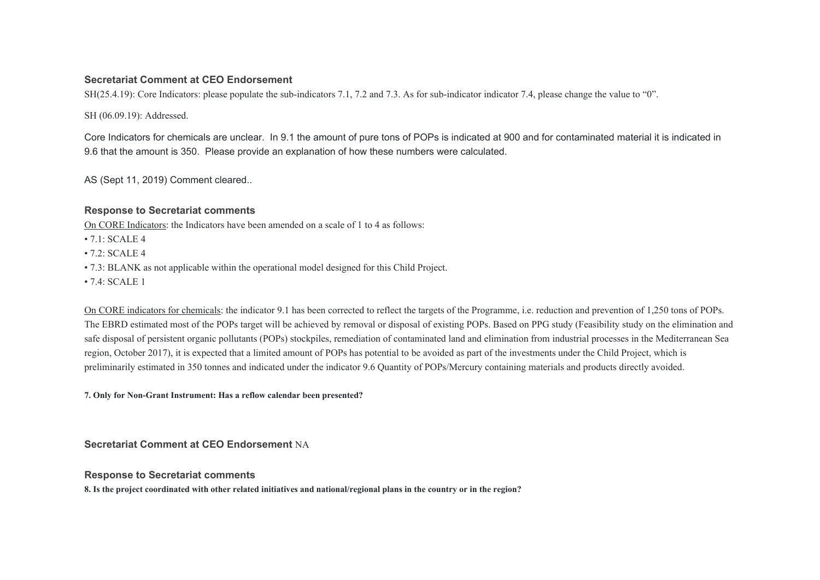## **Secretariat Comment at CEO Endorsement**

SH(25.4.19): Core Indicators: please populate the sub-indicators 7.1, 7.2 and 7.3. As for sub-indicator indicator 7.4, please change the value to "0".

SH (06.09.19): Addressed.

Core Indicators for chemicals are unclear. In 9.1 the amount of pure tons of POPs is indicated at 900 and for contaminated material it is indicated in 9.6 that the amount is 350. Please provide an explanation of how these numbers were calculated.

AS (Sept 11, 2019) Comment cleared..

# **Response to Secretariat comments**

On CORE Indicators: the Indicators have been amended on a scale of 1 to 4 as follows:

- 7.1: SCALE 4
- $72: SCATE 4$
- 7.3: BLANK as not applicable within the operational model designed for this Child Project.
- $74$  SCALE 1

On CORE indicators for chemicals: the indicator 9.1 has been corrected to reflect the targets of the Programme, i.e. reduction and prevention of 1,250 tons of POPs. The EBRD estimated most of the POPs target will be achieved by removal or disposal of existing POPs. Based on PPG study (Feasibility study on the elimination and safe disposal of persistent organic pollutants (POPs) stockpiles, remediation of contaminated land and elimination from industrial processes in the Mediterranean Sea region, October 2017), it is expected that a limited amount of POPs has potential to be avoided as part of the investments under the Child Project, which is preliminarily estimated in 350 tonnes and indicated under the indicator 9.6 Quantity of POPs/Mercury containing materials and products directly avoided.

**7. Only for Non-Grant Instrument: Has a reflow calendar been presented?** 

**Secretariat Comment at CEO Endorsement** NA

#### **Response to Secretariat comments**

**8. Is the project coordinated with other related initiatives and national/regional plans in the country or in the region?**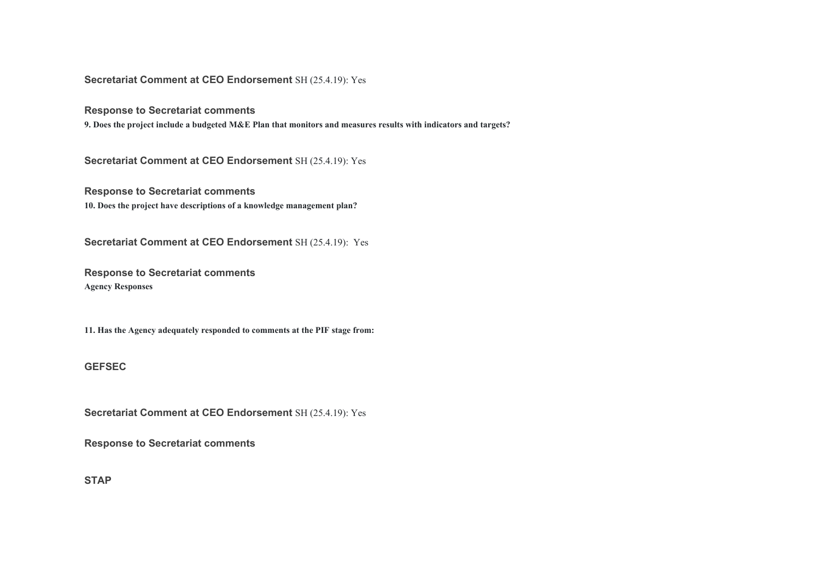**Secretariat Comment at CEO Endorsement** SH (25.4.19): Yes

**Response to Secretariat comments** 

**9. Does the project include a budgeted M&E Plan that monitors and measures results with indicators and targets?** 

**Secretariat Comment at CEO Endorsement** SH (25.4.19): Yes

**Response to Secretariat comments 10. Does the project have descriptions of a knowledge management plan?** 

**Secretariat Comment at CEO Endorsement** SH (25.4.19): Yes

**Response to Secretariat comments Agency Responses** 

**11. Has the Agency adequately responded to comments at the PIF stage from:** 

#### **GEFSEC**

**Secretariat Comment at CEO Endorsement** SH (25.4.19): Yes

**Response to Secretariat comments** 

**STAP**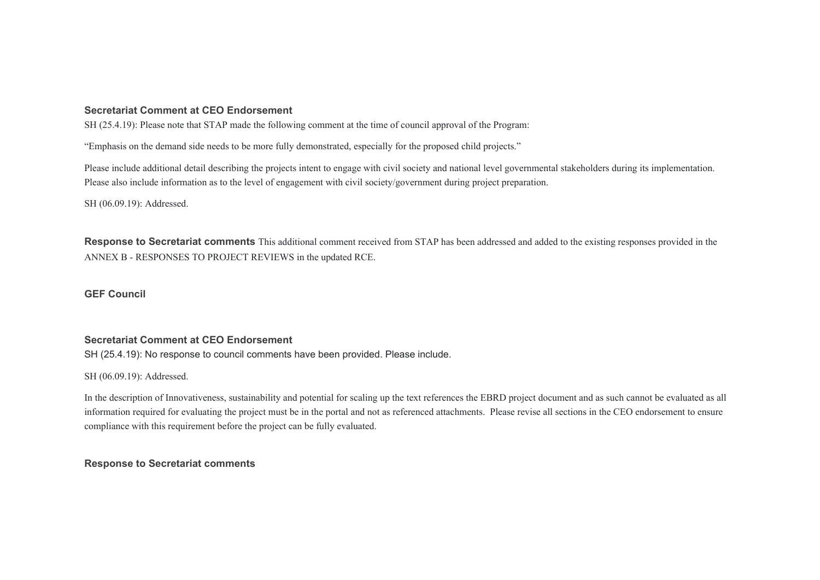#### **Secretariat Comment at CEO Endorsement**

SH (25.4.19): Please note that STAP made the following comment at the time of council approval of the Program:

"Emphasis on the demand side needs to be more fully demonstrated, especially for the proposed child projects."

Please include additional detail describing the projects intent to engage with civil society and national level governmental stakeholders during its implementation. Please also include information as to the level of engagement with civil society/government during project preparation.

SH (06.09.19): Addressed.

**Response to Secretariat comments** This additional comment received from STAP has been addressed and added to the existing responses provided in the ANNEX B - RESPONSES TO PROJECT REVIEWS in the updated RCE.

**GEF Council**

# **Secretariat Comment at CEO Endorsement**

SH (25.4.19): No response to council comments have been provided. Please include.

SH (06.09.19): Addressed.

In the description of Innovativeness, sustainability and potential for scaling up the text references the EBRD project document and as such cannot be evaluated as all information required for evaluating the project must be in the portal and not as referenced attachments. Please revise all sections in the CEO endorsement to ensure compliance with this requirement before the project can be fully evaluated.

**Response to Secretariat comments**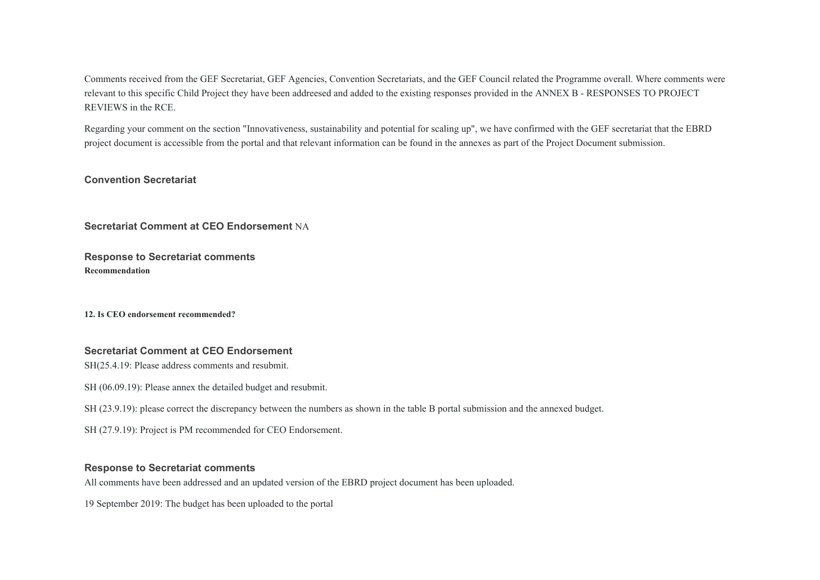Comments received from the GEF Secretariat, GEF Agencies, Convention Secretariats, and the GEF Council related the Programme overall. Where comments were relevant to this specific Child Project they have been addreesed and added to the existing responses provided in the ANNEX B - RESPONSES TO PROJECT REVIEWS in the RCE.

Regarding your comment on the section "Innovativeness, sustainability and potential for scaling up", we have confirmed with the GEF secretariat that the EBRD project document is accessible from the portal and that relevant information can be found in the annexes as part of the Project Document submission.

#### **Convention Secretariat**

**Secretariat Comment at CEO Endorsement** NA

**Response to Secretariat comments Recommendation** 

**12. Is CEO endorsement recommended?** 

#### **Secretariat Comment at CEO Endorsement**

SH(25.4.19: Please address comments and resubmit.

SH (06.09.19): Please annex the detailed budget and resubmit.

SH (23.9.19): please correct the discrepancy between the numbers as shown in the table B portal submission and the annexed budget.

SH (27.9.19): Project is PM recommended for CEO Endorsement.

# **Response to Secretariat comments**

All comments have been addressed and an updated version of the EBRD project document has been uploaded.

19 September 2019: The budget has been uploaded to the portal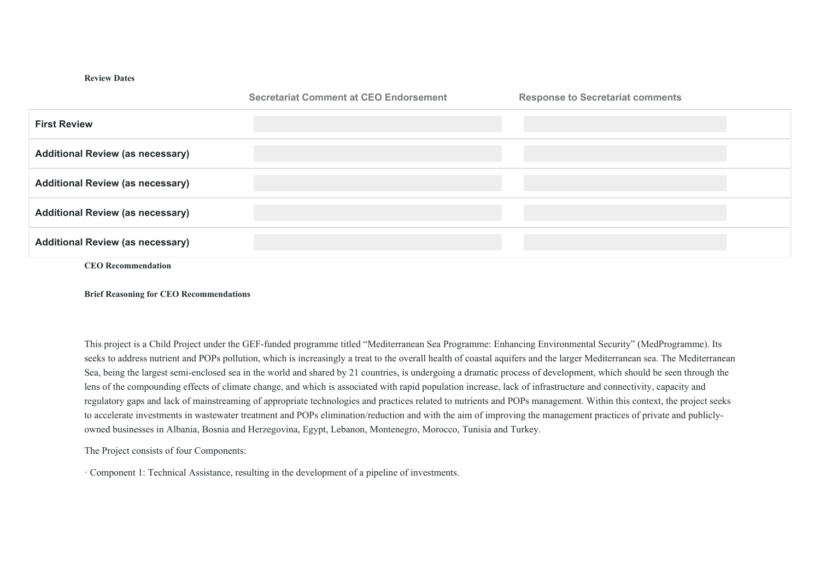#### **Review Dates**

|                                         | <b>Secretariat Comment at CEO Endorsement</b> | <b>Response to Secretariat comments</b> |
|-----------------------------------------|-----------------------------------------------|-----------------------------------------|
| <b>First Review</b>                     |                                               |                                         |
| <b>Additional Review (as necessary)</b> |                                               |                                         |
| <b>Additional Review (as necessary)</b> |                                               |                                         |
| <b>Additional Review (as necessary)</b> |                                               |                                         |
| <b>Additional Review (as necessary)</b> |                                               |                                         |
| <b>CEO</b> Recommendation               |                                               |                                         |

**Brief Reasoning for CEO Recommendations** 

This project is a Child Project under the GEF-funded programme titled "Mediterranean Sea Programme: Enhancing Environmental Security" (MedProgramme). Its seeks to address nutrient and POPs pollution, which is increasingly a treat to the overall health of coastal aquifers and the larger Mediterranean sea. The Mediterranean Sea, being the largest semi-enclosed sea in the world and shared by 21 countries, is undergoing a dramatic process of development, which should be seen through the lens of the compounding effects of climate change, and which is associated with rapid population increase, lack of infrastructure and connectivity, capacity and regulatory gaps and lack of mainstreaming of appropriate technologies and practices related to nutrients and POPs management. Within this context, the project seeks to accelerate investments in wastewater treatment and POPs elimination/reduction and with the aim of improving the management practices of private and publiclyowned businesses in Albania, Bosnia and Herzegovina, Egypt, Lebanon, Montenegro, Morocco, Tunisia and Turkey.

The Project consists of four Components:

· Component 1: Technical Assistance, resulting in the development of a pipeline of investments.